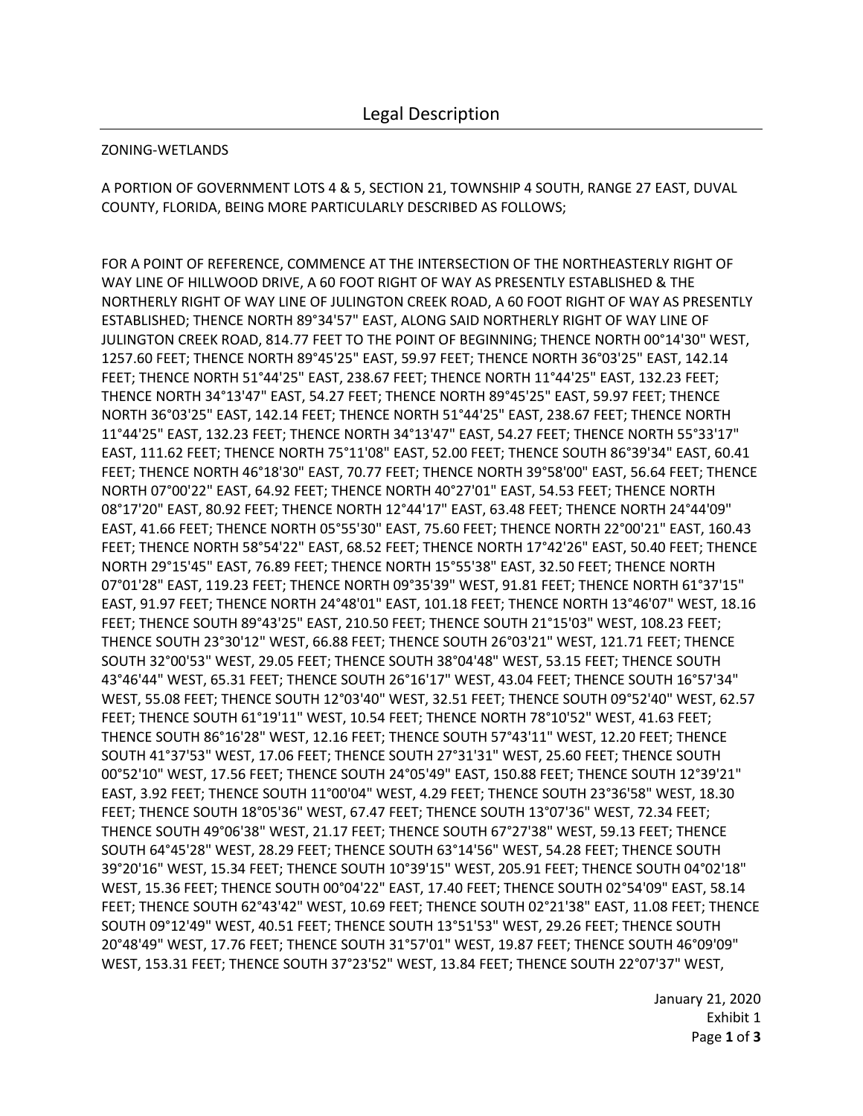## ZONING-WETLANDS

A PORTION OF GOVERNMENT LOTS 4 & 5, SECTION 21, TOWNSHIP 4 SOUTH, RANGE 27 EAST, DUVAL COUNTY, FLORIDA, BEING MORE PARTICULARLY DESCRIBED AS FOLLOWS;

FOR A POINT OF REFERENCE, COMMENCE AT THE INTERSECTION OF THE NORTHEASTERLY RIGHT OF WAY LINE OF HILLWOOD DRIVE, A 60 FOOT RIGHT OF WAY AS PRESENTLY ESTABLISHED & THE NORTHERLY RIGHT OF WAY LINE OF JULINGTON CREEK ROAD, A 60 FOOT RIGHT OF WAY AS PRESENTLY ESTABLISHED; THENCE NORTH 89°34'57" EAST, ALONG SAID NORTHERLY RIGHT OF WAY LINE OF JULINGTON CREEK ROAD, 814.77 FEET TO THE POINT OF BEGINNING; THENCE NORTH 00°14'30" WEST, 1257.60 FEET; THENCE NORTH 89°45'25" EAST, 59.97 FEET; THENCE NORTH 36°03'25" EAST, 142.14 FEET; THENCE NORTH 51°44'25" EAST, 238.67 FEET; THENCE NORTH 11°44'25" EAST, 132.23 FEET; THENCE NORTH 34°13'47" EAST, 54.27 FEET; THENCE NORTH 89°45'25" EAST, 59.97 FEET; THENCE NORTH 36°03'25" EAST, 142.14 FEET; THENCE NORTH 51°44'25" EAST, 238.67 FEET; THENCE NORTH 11°44'25" EAST, 132.23 FEET; THENCE NORTH 34°13'47" EAST, 54.27 FEET; THENCE NORTH 55°33'17" EAST, 111.62 FEET; THENCE NORTH 75°11'08" EAST, 52.00 FEET; THENCE SOUTH 86°39'34" EAST, 60.41 FEET; THENCE NORTH 46°18'30" EAST, 70.77 FEET; THENCE NORTH 39°58'00" EAST, 56.64 FEET; THENCE NORTH 07°00'22" EAST, 64.92 FEET; THENCE NORTH 40°27'01" EAST, 54.53 FEET; THENCE NORTH 08°17'20" EAST, 80.92 FEET; THENCE NORTH 12°44'17" EAST, 63.48 FEET; THENCE NORTH 24°44'09" EAST, 41.66 FEET; THENCE NORTH 05°55'30" EAST, 75.60 FEET; THENCE NORTH 22°00'21" EAST, 160.43 FEET; THENCE NORTH 58°54'22" EAST, 68.52 FEET; THENCE NORTH 17°42'26" EAST, 50.40 FEET; THENCE NORTH 29°15'45" EAST, 76.89 FEET; THENCE NORTH 15°55'38" EAST, 32.50 FEET; THENCE NORTH 07°01'28" EAST, 119.23 FEET; THENCE NORTH 09°35'39" WEST, 91.81 FEET; THENCE NORTH 61°37'15" EAST, 91.97 FEET; THENCE NORTH 24°48'01" EAST, 101.18 FEET; THENCE NORTH 13°46'07" WEST, 18.16 FEET; THENCE SOUTH 89°43'25" EAST, 210.50 FEET; THENCE SOUTH 21°15'03" WEST, 108.23 FEET; THENCE SOUTH 23°30'12" WEST, 66.88 FEET; THENCE SOUTH 26°03'21" WEST, 121.71 FEET; THENCE SOUTH 32°00'53" WEST, 29.05 FEET; THENCE SOUTH 38°04'48" WEST, 53.15 FEET; THENCE SOUTH 43°46'44" WEST, 65.31 FEET; THENCE SOUTH 26°16'17" WEST, 43.04 FEET; THENCE SOUTH 16°57'34" WEST, 55.08 FEET; THENCE SOUTH 12°03'40" WEST, 32.51 FEET; THENCE SOUTH 09°52'40" WEST, 62.57 FEET; THENCE SOUTH 61°19'11" WEST, 10.54 FEET; THENCE NORTH 78°10'52" WEST, 41.63 FEET; THENCE SOUTH 86°16'28" WEST, 12.16 FEET; THENCE SOUTH 57°43'11" WEST, 12.20 FEET; THENCE SOUTH 41°37'53" WEST, 17.06 FEET; THENCE SOUTH 27°31'31" WEST, 25.60 FEET; THENCE SOUTH 00°52'10" WEST, 17.56 FEET; THENCE SOUTH 24°05'49" EAST, 150.88 FEET; THENCE SOUTH 12°39'21" EAST, 3.92 FEET; THENCE SOUTH 11°00'04" WEST, 4.29 FEET; THENCE SOUTH 23°36'58" WEST, 18.30 FEET; THENCE SOUTH 18°05'36" WEST, 67.47 FEET; THENCE SOUTH 13°07'36" WEST, 72.34 FEET; THENCE SOUTH 49°06'38" WEST, 21.17 FEET; THENCE SOUTH 67°27'38" WEST, 59.13 FEET; THENCE SOUTH 64°45'28" WEST, 28.29 FEET; THENCE SOUTH 63°14'56" WEST, 54.28 FEET; THENCE SOUTH 39°20'16" WEST, 15.34 FEET; THENCE SOUTH 10°39'15" WEST, 205.91 FEET; THENCE SOUTH 04°02'18" WEST, 15.36 FEET; THENCE SOUTH 00°04'22" EAST, 17.40 FEET; THENCE SOUTH 02°54'09" EAST, 58.14 FEET; THENCE SOUTH 62°43'42" WEST, 10.69 FEET; THENCE SOUTH 02°21'38" EAST, 11.08 FEET; THENCE SOUTH 09°12'49" WEST, 40.51 FEET; THENCE SOUTH 13°51'53" WEST, 29.26 FEET; THENCE SOUTH 20°48'49" WEST, 17.76 FEET; THENCE SOUTH 31°57'01" WEST, 19.87 FEET; THENCE SOUTH 46°09'09" WEST, 153.31 FEET; THENCE SOUTH 37°23'52" WEST, 13.84 FEET; THENCE SOUTH 22°07'37" WEST,

> January 21, 2020 Exhibit 1 Page **1** of **3**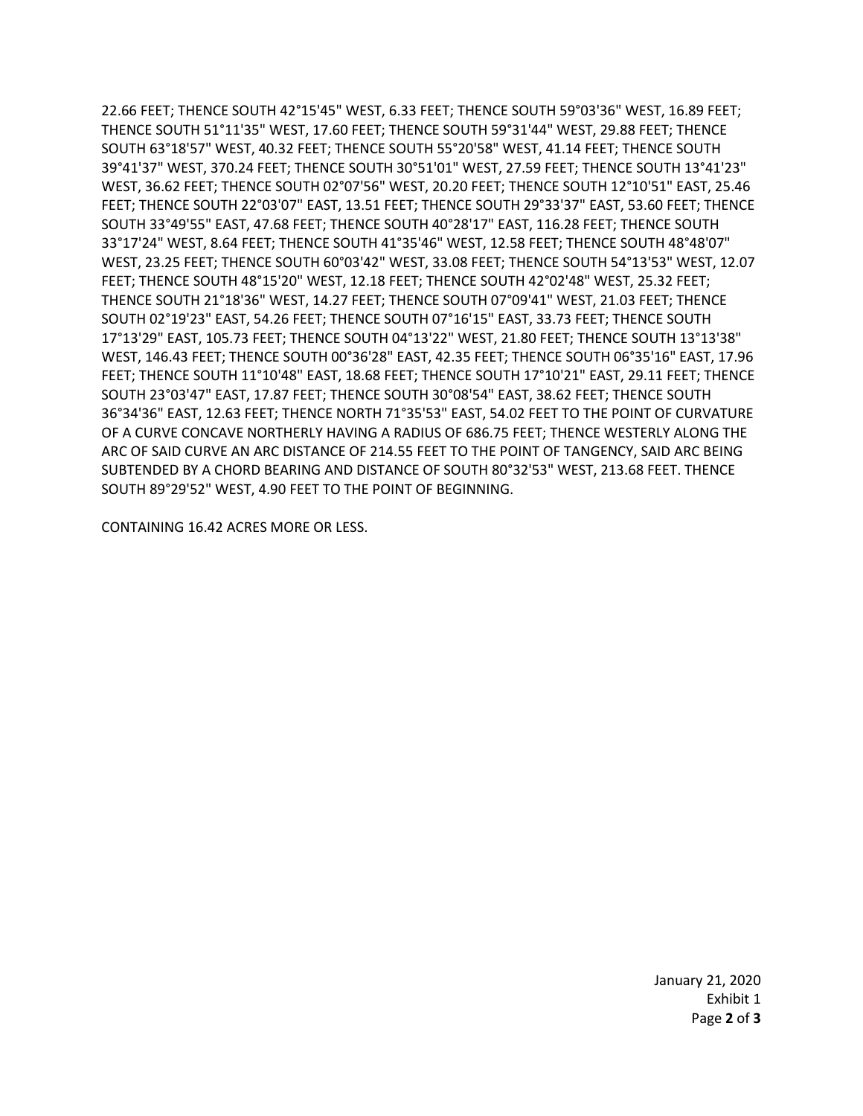22.66 FEET; THENCE SOUTH 42°15'45" WEST, 6.33 FEET; THENCE SOUTH 59°03'36" WEST, 16.89 FEET; THENCE SOUTH 51°11'35" WEST, 17.60 FEET; THENCE SOUTH 59°31'44" WEST, 29.88 FEET; THENCE SOUTH 63°18'57" WEST, 40.32 FEET; THENCE SOUTH 55°20'58" WEST, 41.14 FEET; THENCE SOUTH 39°41'37" WEST, 370.24 FEET; THENCE SOUTH 30°51'01" WEST, 27.59 FEET; THENCE SOUTH 13°41'23" WEST, 36.62 FEET; THENCE SOUTH 02°07'56" WEST, 20.20 FEET; THENCE SOUTH 12°10'51" EAST, 25.46 FEET; THENCE SOUTH 22°03'07" EAST, 13.51 FEET; THENCE SOUTH 29°33'37" EAST, 53.60 FEET; THENCE SOUTH 33°49'55" EAST, 47.68 FEET; THENCE SOUTH 40°28'17" EAST, 116.28 FEET; THENCE SOUTH 33°17'24" WEST, 8.64 FEET; THENCE SOUTH 41°35'46" WEST, 12.58 FEET; THENCE SOUTH 48°48'07" WEST, 23.25 FEET; THENCE SOUTH 60°03'42" WEST, 33.08 FEET; THENCE SOUTH 54°13'53" WEST, 12.07 FEET; THENCE SOUTH 48°15'20" WEST, 12.18 FEET; THENCE SOUTH 42°02'48" WEST, 25.32 FEET; THENCE SOUTH 21°18'36" WEST, 14.27 FEET; THENCE SOUTH 07°09'41" WEST, 21.03 FEET; THENCE SOUTH 02°19'23" EAST, 54.26 FEET; THENCE SOUTH 07°16'15" EAST, 33.73 FEET; THENCE SOUTH 17°13'29" EAST, 105.73 FEET; THENCE SOUTH 04°13'22" WEST, 21.80 FEET; THENCE SOUTH 13°13'38" WEST, 146.43 FEET; THENCE SOUTH 00°36'28" EAST, 42.35 FEET; THENCE SOUTH 06°35'16" EAST, 17.96 FEET; THENCE SOUTH 11°10'48" EAST, 18.68 FEET; THENCE SOUTH 17°10'21" EAST, 29.11 FEET; THENCE SOUTH 23°03'47" EAST, 17.87 FEET; THENCE SOUTH 30°08'54" EAST, 38.62 FEET; THENCE SOUTH 36°34'36" EAST, 12.63 FEET; THENCE NORTH 71°35'53" EAST, 54.02 FEET TO THE POINT OF CURVATURE OF A CURVE CONCAVE NORTHERLY HAVING A RADIUS OF 686.75 FEET; THENCE WESTERLY ALONG THE ARC OF SAID CURVE AN ARC DISTANCE OF 214.55 FEET TO THE POINT OF TANGENCY, SAID ARC BEING SUBTENDED BY A CHORD BEARING AND DISTANCE OF SOUTH 80°32'53" WEST, 213.68 FEET. THENCE SOUTH 89°29'52" WEST, 4.90 FEET TO THE POINT OF BEGINNING.

CONTAINING 16.42 ACRES MORE OR LESS.

January 21, 2020 Exhibit 1 Page **2** of **3**